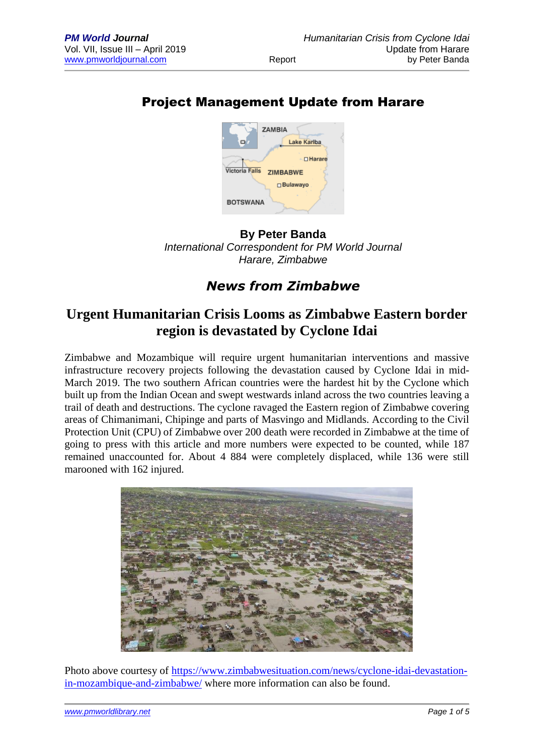# Project Management Update from Harare



**By Peter Banda** *International Correspondent for PM World Journal Harare, Zimbabwe*

# *News from Zimbabwe*

## **Urgent Humanitarian Crisis Looms as Zimbabwe Eastern border region is devastated by Cyclone Idai**

Zimbabwe and Mozambique will require urgent humanitarian interventions and massive infrastructure recovery projects following the devastation caused by Cyclone Idai in mid-March 2019. The two southern African countries were the hardest hit by the Cyclone which built up from the Indian Ocean and swept westwards inland across the two countries leaving a trail of death and destructions. The cyclone ravaged the Eastern region of Zimbabwe covering areas of Chimanimani, Chipinge and parts of Masvingo and Midlands. According to the Civil Protection Unit (CPU) of Zimbabwe over 200 death were recorded in Zimbabwe at the time of going to press with this article and more numbers were expected to be counted, while 187 remained unaccounted for. About 4 884 were completely displaced, while 136 were still marooned with 162 injured.



Photo above courtesy of [https://www.zimbabwesituation.com/news/cyclone-idai-devastation](https://www.zimbabwesituation.com/news/cyclone-idai-devastation-in-mozambique-and-zimbabwe/)[in-mozambique-and-zimbabwe/](https://www.zimbabwesituation.com/news/cyclone-idai-devastation-in-mozambique-and-zimbabwe/) where more information can also be found.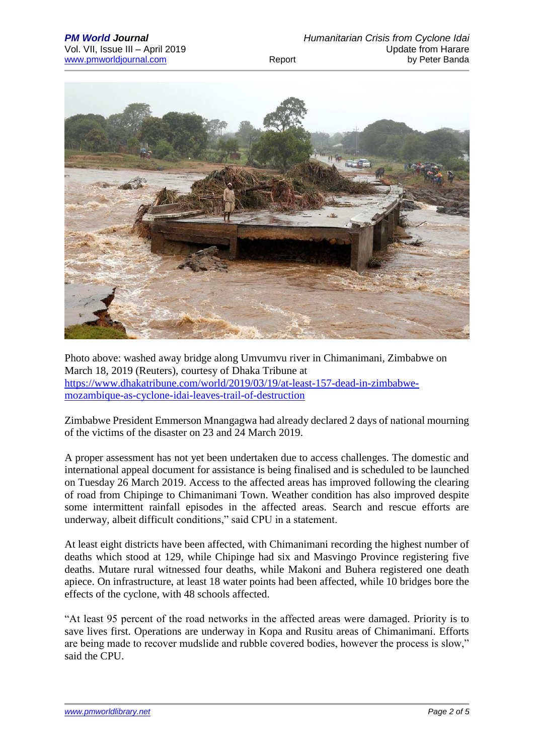

Photo above: washed away bridge along Umvumvu river in Chimanimani, Zimbabwe on March 18, 2019 (Reuters), courtesy of Dhaka Tribune at [https://www.dhakatribune.com/world/2019/03/19/at-least-157-dead-in-zimbabwe](https://www.dhakatribune.com/world/2019/03/19/at-least-157-dead-in-zimbabwe-mozambique-as-cyclone-idai-leaves-trail-of-destruction)[mozambique-as-cyclone-idai-leaves-trail-of-destruction](https://www.dhakatribune.com/world/2019/03/19/at-least-157-dead-in-zimbabwe-mozambique-as-cyclone-idai-leaves-trail-of-destruction)

Zimbabwe President Emmerson Mnangagwa had already declared 2 days of national mourning of the victims of the disaster on 23 and 24 March 2019.

A proper assessment has not yet been undertaken due to access challenges. The domestic and international appeal document for assistance is being finalised and is scheduled to be launched on Tuesday 26 March 2019. Access to the affected areas has improved following the clearing of road from Chipinge to Chimanimani Town. Weather condition has also improved despite some intermittent rainfall episodes in the affected areas. Search and rescue efforts are underway, albeit difficult conditions," said CPU in a statement.

At least eight districts have been affected, with Chimanimani recording the highest number of deaths which stood at 129, while Chipinge had six and Masvingo Province registering five deaths. Mutare rural witnessed four deaths, while Makoni and Buhera registered one death apiece. On infrastructure, at least 18 water points had been affected, while 10 bridges bore the effects of the cyclone, with 48 schools affected.

"At least 95 percent of the road networks in the affected areas were damaged. Priority is to save lives first. Operations are underway in Kopa and Rusitu areas of Chimanimani. Efforts are being made to recover mudslide and rubble covered bodies, however the process is slow," said the CPU.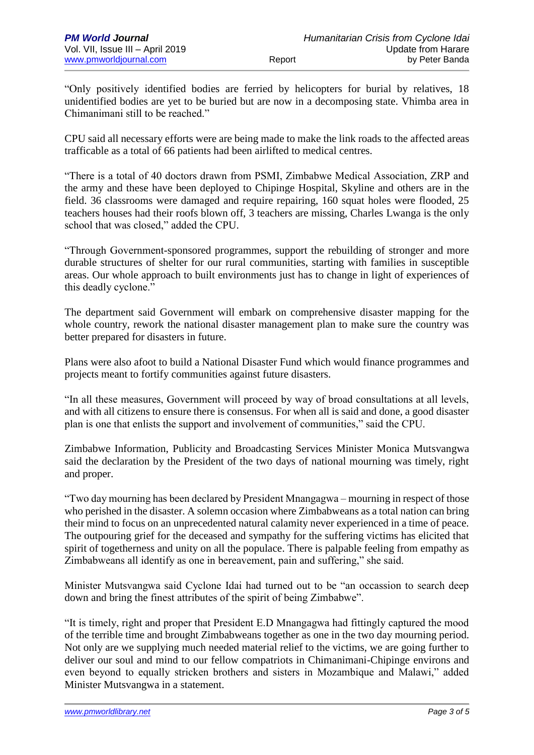"Only positively identified bodies are ferried by helicopters for burial by relatives, 18 unidentified bodies are yet to be buried but are now in a decomposing state. Vhimba area in Chimanimani still to be reached."

CPU said all necessary efforts were are being made to make the link roads to the affected areas trafficable as a total of 66 patients had been airlifted to medical centres.

"There is a total of 40 doctors drawn from PSMI, Zimbabwe Medical Association, ZRP and the army and these have been deployed to Chipinge Hospital, Skyline and others are in the field. 36 classrooms were damaged and require repairing, 160 squat holes were flooded, 25 teachers houses had their roofs blown off, 3 teachers are missing, Charles Lwanga is the only school that was closed," added the CPU.

"Through Government-sponsored programmes, support the rebuilding of stronger and more durable structures of shelter for our rural communities, starting with families in susceptible areas. Our whole approach to built environments just has to change in light of experiences of this deadly cyclone."

The department said Government will embark on comprehensive disaster mapping for the whole country, rework the national disaster management plan to make sure the country was better prepared for disasters in future.

Plans were also afoot to build a National Disaster Fund which would finance programmes and projects meant to fortify communities against future disasters.

"In all these measures, Government will proceed by way of broad consultations at all levels, and with all citizens to ensure there is consensus. For when all is said and done, a good disaster plan is one that enlists the support and involvement of communities," said the CPU.

Zimbabwe Information, Publicity and Broadcasting Services Minister Monica Mutsvangwa said the declaration by the President of the two days of national mourning was timely, right and proper.

"Two day mourning has been declared by President Mnangagwa – mourning in respect of those who perished in the disaster. A solemn occasion where Zimbabweans as a total nation can bring their mind to focus on an unprecedented natural calamity never experienced in a time of peace. The outpouring grief for the deceased and sympathy for the suffering victims has elicited that spirit of togetherness and unity on all the populace. There is palpable feeling from empathy as Zimbabweans all identify as one in bereavement, pain and suffering," she said.

Minister Mutsvangwa said Cyclone Idai had turned out to be "an occassion to search deep down and bring the finest attributes of the spirit of being Zimbabwe".

"It is timely, right and proper that President E.D Mnangagwa had fittingly captured the mood of the terrible time and brought Zimbabweans together as one in the two day mourning period. Not only are we supplying much needed material relief to the victims, we are going further to deliver our soul and mind to our fellow compatriots in Chimanimani-Chipinge environs and even beyond to equally stricken brothers and sisters in Mozambique and Malawi," added Minister Mutsvangwa in a statement.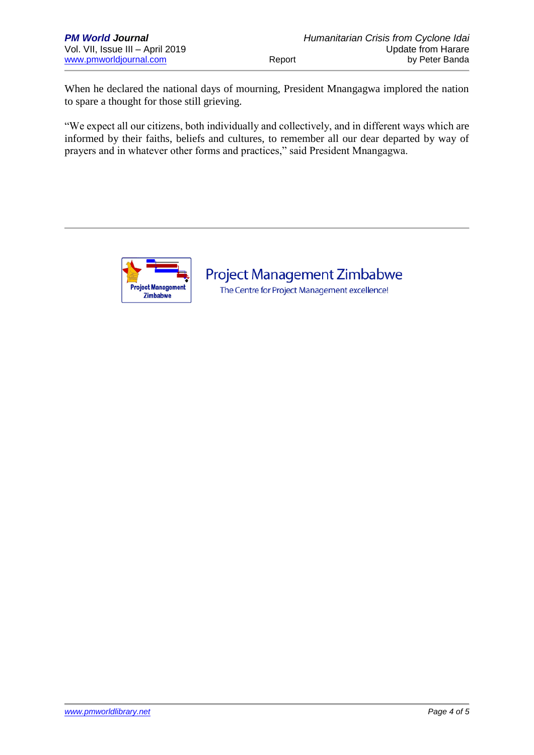When he declared the national days of mourning, President Mnangagwa implored the nation to spare a thought for those still grieving.

"We expect all our citizens, both individually and collectively, and in different ways which are informed by their faiths, beliefs and cultures, to remember all our dear departed by way of prayers and in whatever other forms and practices," said President Mnangagwa.



**Project Management Zimbabwe** The Centre for Project Management excellence!